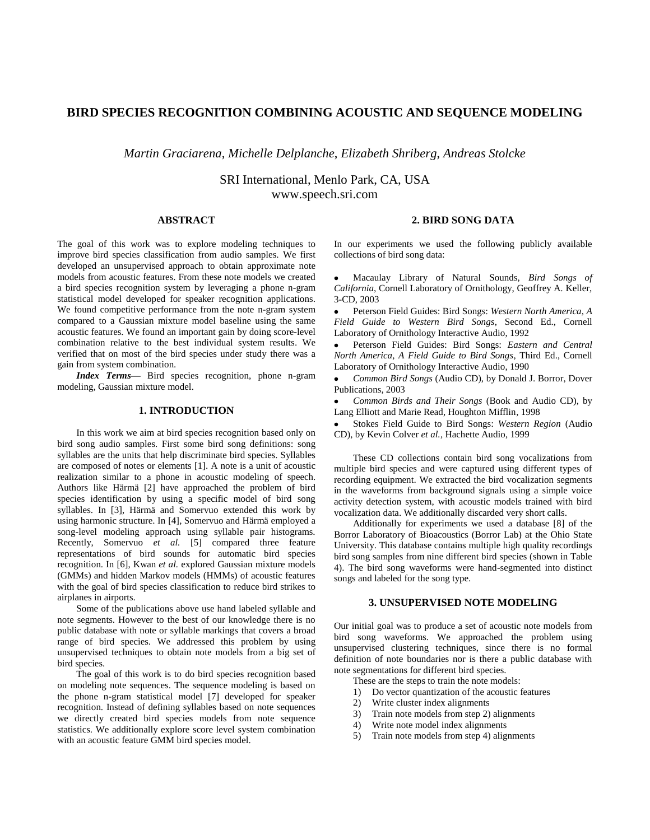# **BIRD SPECIES RECOGNITION COMBINING ACOUSTIC AND SEQUENCE MODELING**

*Martin Graciarena*, *Michelle Delplanche*, *Elizabeth Shriberg*, *Andreas Stolcke*

SRI International, Menlo Park, CA, USA www[.speech.sri.com](mailto:jes@sci.voice.edu)

#### **ABSTRACT**

#### **2. BIRD SONG DATA**

The goal of this work was to explore modeling techniques to improve bird species classification from audio samples. We first developed an unsupervised approach to obtain approximate note models from acoustic features. From these note models we created a bird species recognition system by leveraging a phone n-gram statistical model developed for speaker recognition applications. We found competitive performance from the note n-gram system compared to a Gaussian mixture model baseline using the same acoustic features. We found an important gain by doing score-level combination relative to the best individual system results. We verified that on most of the bird species under study there was a gain from system combination.

*Index Terms—* Bird species recognition, phone n-gram modeling, Gaussian mixture model.

# **1. INTRODUCTION**

In this work we aim at bird species recognition based only on bird song audio samples. First some bird song definitions: song syllables are the units that help discriminate bird species. Syllables are composed of notes or elements [1]. A note is a unit of acoustic realization similar to a phone in acoustic modeling of speech. Authors like Härmä [2] have approached the problem of bird species identification by using a specific model of bird song syllables. In [3], Härmä and Somervuo extended this work by using harmonic structure. In [4], Somervuo and Härmä employed a song-level modeling approach using syllable pair histograms. Recently, Somervuo *et al.* [5] compared three feature representations of bird sounds for automatic bird species recognition. In [6], Kwan *et al.* explored Gaussian mixture models (GMMs) and hidden Markov models (HMMs) of acoustic features with the goal of bird species classification to reduce bird strikes to airplanes in airports.

Some of the publications above use hand labeled syllable and note segments. However to the best of our knowledge there is no public database with note or syllable markings that covers a broad range of bird species. We addressed this problem by using unsupervised techniques to obtain note models from a big set of bird species.

The goal of this work is to do bird species recognition based on modeling note sequences. The sequence modeling is based on the phone n-gram statistical model [7] developed for speaker recognition. Instead of defining syllables based on note sequences we directly created bird species models from note sequence statistics. We additionally explore score level system combination with an acoustic feature GMM bird species model.

In our experiments we used the following publicly available collections of bird song data:

Macaulay Library of Natural Sounds, *Bird Songs of California*, Cornell Laboratory of Ornithology, Geoffrey A. Keller, 3-CD, 2003

Peterson Field Guides: Bird Songs: *Western North America*, *A Field Guide to Western Bird Songs*, Second Ed., Cornell Laboratory of Ornithology Interactive Audio, 1992

Peterson Field Guides: Bird Songs: *Eastern and Central North America, A Field Guide to Bird Songs*, Third Ed., Cornell Laboratory of Ornithology Interactive Audio, 1990

*Common Bird Songs* (Audio CD), by Donald J. Borror, Dover Publications, 2003

*Common Birds and Their Songs* (Book and Audio CD), by Lang Elliott and Marie Read, Houghton Mifflin, 1998

Stokes Field Guide to Bird Songs: *Western Region* (Audio CD), by Kevin Colver *et al.,* Hachette Audio, 1999

These CD collections contain bird song vocalizations from multiple bird species and were captured using different types of recording equipment. We extracted the bird vocalization segments in the waveforms from background signals using a simple voice activity detection system, with acoustic models trained with bird vocalization data. We additionally discarded very short calls.

Additionally for experiments we used a database [8] of the Borror Laboratory of Bioacoustics (Borror Lab) at the Ohio State University. This database contains multiple high quality recordings bird song samples from nine different bird species (shown in Table 4). The bird song waveforms were hand-segmented into distinct songs and labeled for the song type.

# **3. UNSUPERVISED NOTE MODELING**

Our initial goal was to produce a set of acoustic note models from bird song waveforms. We approached the problem using unsupervised clustering techniques, since there is no formal definition of note boundaries nor is there a public database with note segmentations for different bird species.

These are the steps to train the note models:

- 1) Do vector quantization of the acoustic features
- 2) Write cluster index alignments
- 3) Train note models from step 2) alignments
- 4) Write note model index alignments
- 5) Train note models from step 4) alignments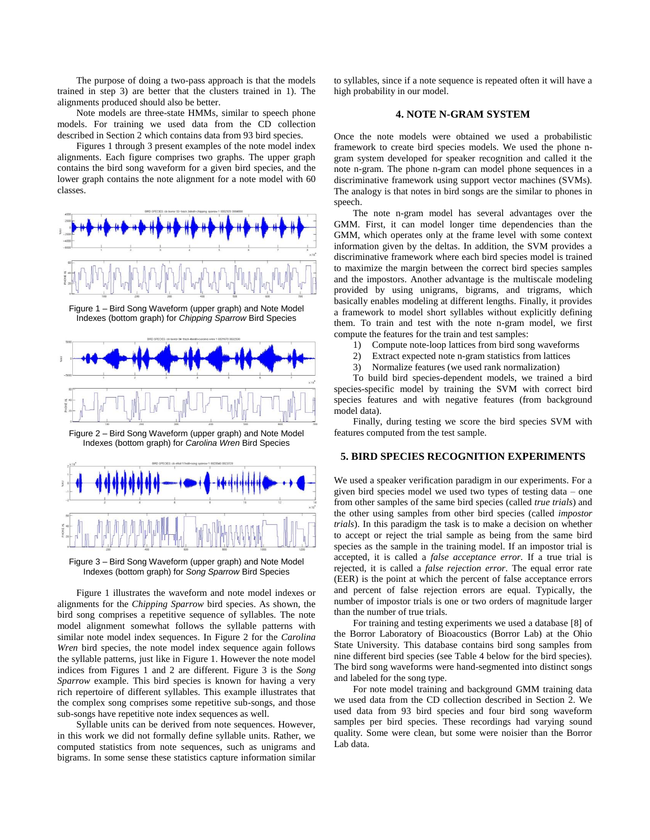The purpose of doing a two-pass approach is that the models trained in step 3) are better that the clusters trained in 1). The alignments produced should also be better.

Note models are three-state HMMs, similar to speech phone models. For training we used data from the CD collection described in Section 2 which contains data from 93 bird species.

Figures 1 through 3 present examples of the note model index alignments. Each figure comprises two graphs. The upper graph contains the bird song waveform for a given bird species, and the lower graph contains the note alignment for a note model with 60 classes.



Figure 1 – Bird Song Waveform (upper graph) and Note Model Indexes (bottom graph) for *Chipping Sparrow* Bird Species



Figure 2 – Bird Song Waveform (upper graph) and Note Model Indexes (bottom graph) for *Carolina Wren* Bird Species



Figure 3 – Bird Song Waveform (upper graph) and Note Model Indexes (bottom graph) for *Song Sparrow* Bird Species

Figure 1 illustrates the waveform and note model indexes or alignments for the *Chipping Sparrow* bird species. As shown, the bird song comprises a repetitive sequence of syllables. The note model alignment somewhat follows the syllable patterns with similar note model index sequences. In Figure 2 for the *Carolina Wren* bird species, the note model index sequence again follows the syllable patterns, just like in Figure 1. However the note model indices from Figures 1 and 2 are different. Figure 3 is the *Song Sparrow* example. This bird species is known for having a very rich repertoire of different syllables. This example illustrates that the complex song comprises some repetitive sub-songs, and those sub-songs have repetitive note index sequences as well.

Syllable units can be derived from note sequences. However, in this work we did not formally define syllable units. Rather, we computed statistics from note sequences, such as unigrams and bigrams. In some sense these statistics capture information similar

to syllables, since if a note sequence is repeated often it will have a high probability in our model.

# **4. NOTE N-GRAM SYSTEM**

Once the note models were obtained we used a probabilistic framework to create bird species models. We used the phone ngram system developed for speaker recognition and called it the note n-gram. The phone n-gram can model phone sequences in a discriminative framework using support vector machines (SVMs). The analogy is that notes in bird songs are the similar to phones in speech.

The note n-gram model has several advantages over the GMM. First, it can model longer time dependencies than the GMM, which operates only at the frame level with some context information given by the deltas. In addition, the SVM provides a discriminative framework where each bird species model is trained to maximize the margin between the correct bird species samples and the impostors. Another advantage is the multiscale modeling provided by using unigrams, bigrams, and trigrams, which basically enables modeling at different lengths. Finally, it provides a framework to model short syllables without explicitly defining them. To train and test with the note n-gram model, we first compute the features for the train and test samples:

- 1) Compute note-loop lattices from bird song waveforms
- 2) Extract expected note n-gram statistics from lattices
- 3) Normalize features (we used rank normalization)

To build bird species-dependent models, we trained a bird species-specific model by training the SVM with correct bird species features and with negative features (from background model data).

Finally, during testing we score the bird species SVM with features computed from the test sample.

#### **5. BIRD SPECIES RECOGNITION EXPERIMENTS**

We used a speaker verification paradigm in our experiments. For a given bird species model we used two types of testing data – one from other samples of the same bird species (called *true trials*) and the other using samples from other bird species (called *impostor trials*). In this paradigm the task is to make a decision on whether to accept or reject the trial sample as being from the same bird species as the sample in the training model. If an impostor trial is accepted, it is called a *false acceptance error.* If a true trial is rejected, it is called a *false rejection error*. The equal error rate (EER) is the point at which the percent of false acceptance errors and percent of false rejection errors are equal. Typically, the number of impostor trials is one or two orders of magnitude larger than the number of true trials.

For training and testing experiments we used a database [8] of the Borror Laboratory of Bioacoustics (Borror Lab) at the Ohio State University. This database contains bird song samples from nine different bird species (see Table 4 below for the bird species). The bird song waveforms were hand-segmented into distinct songs and labeled for the song type.

For note model training and background GMM training data we used data from the CD collection described in Section 2. We used data from 93 bird species and four bird song waveform samples per bird species. These recordings had varying sound quality. Some were clean, but some were noisier than the Borror Lab data.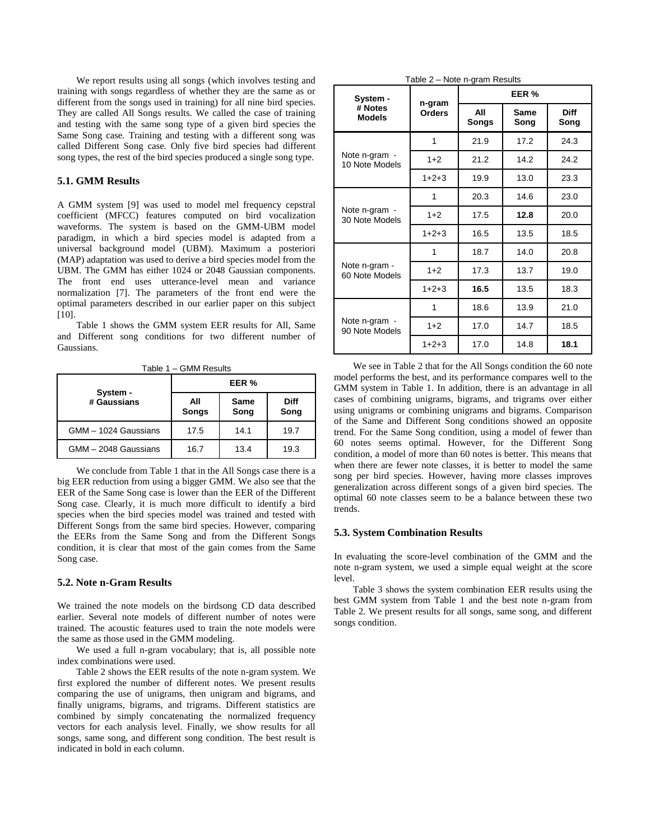We report results using all songs (which involves testing and training with songs regardless of whether they are the same as or different from the songs used in training) for all nine bird species. They are called All Songs results. We called the case of training and testing with the same song type of a given bird species the Same Song case*.* Training and testing with a different song was called Different Song case*.* Only five bird species had different song types, the rest of the bird species produced a single song type.

## **5.1. GMM Results**

A GMM system [9] was used to model mel frequency cepstral coefficient (MFCC) features computed on bird vocalization waveforms. The system is based on the GMM-UBM model paradigm, in which a bird species model is adapted from a universal background model (UBM). Maximum a posteriori (MAP) adaptation was used to derive a bird species model from the UBM. The GMM has either 1024 or 2048 Gaussian components. The front end uses utterance-level mean and variance normalization [7]. The parameters of the front end were the optimal parameters described in our earlier paper on this subject [10].

Table 1 shows the GMM system EER results for All, Same and Different song conditions for two different number of Gaussians.

Table 1 – GMM Results

| System -<br># Gaussians | EER %        |              |                     |
|-------------------------|--------------|--------------|---------------------|
|                         | All<br>Songs | Same<br>Song | <b>Diff</b><br>Song |
| GMM - 1024 Gaussians    | 17.5         | 14.1         | 19.7                |
| GMM - 2048 Gaussians    | 16.7         | 13.4         | 19.3                |

We conclude from Table 1 that in the All Songs case there is a big EER reduction from using a bigger GMM. We also see that the EER of the Same Song case is lower than the EER of the Different Song case. Clearly, it is much more difficult to identify a bird species when the bird species model was trained and tested with Different Songs from the same bird species. However, comparing the EERs from the Same Song and from the Different Songs condition, it is clear that most of the gain comes from the Same Song case.

## **5.2. Note n-Gram Results**

We trained the note models on the birdsong CD data described earlier. Several note models of different number of notes were trained. The acoustic features used to train the note models were the same as those used in the GMM modeling.

We used a full n-gram vocabulary; that is, all possible note index combinations were used.

Table 2 shows the EER results of the note n-gram system. We first explored the number of different notes. We present results comparing the use of unigrams, then unigram and bigrams, and finally unigrams, bigrams, and trigrams. Different statistics are combined by simply concatenating the normalized frequency vectors for each analysis level. Finally, we show results for all songs, same song, and different song condition. The best result is indicated in bold in each column.

Table 2 – Note n-gram Results

| System -                        |                         | EER%         |              |                     |
|---------------------------------|-------------------------|--------------|--------------|---------------------|
| # Notes<br><b>Models</b>        | n-gram<br><b>Orders</b> | All<br>Songs | Same<br>Song | <b>Diff</b><br>Song |
| Note n-gram -<br>10 Note Models | 1                       | 21.9         | 17.2         | 24.3                |
|                                 | $1+2$                   | 21.2         | 14.2         | 24.2                |
|                                 | $1+2+3$                 | 19.9         | 13.0         | 23.3                |
|                                 | 1                       | 20.3         | 14.6         | 23.0                |
| Note n-gram -<br>30 Note Models | $1+2$                   | 17.5         | 12.8         | 20.0                |
|                                 | $1 + 2 + 3$             | 16.5         | 13.5         | 18.5                |
| Note n-gram -<br>60 Note Models | 1                       | 18.7         | 14.0         | 20.8                |
|                                 | $1+2$                   | 17.3         | 13.7         | 19.0                |
|                                 | $1+2+3$                 | 16.5         | 13.5         | 18.3                |
| Note n-gram -<br>90 Note Models | 1                       | 18.6         | 13.9         | 21.0                |
|                                 | $1+2$                   | 17.0         | 14.7         | 18.5                |
|                                 | $1 + 2 + 3$             | 17.0         | 14.8         | 18.1                |

We see in Table 2 that for the All Songs condition the 60 note model performs the best, and its performance compares well to the GMM system in Table 1. In addition, there is an advantage in all cases of combining unigrams, bigrams, and trigrams over either using unigrams or combining unigrams and bigrams. Comparison of the Same and Different Song conditions showed an opposite trend. For the Same Song condition, using a model of fewer than 60 notes seems optimal. However, for the Different Song condition, a model of more than 60 notes is better. This means that when there are fewer note classes, it is better to model the same song per bird species. However, having more classes improves generalization across different songs of a given bird species. The optimal 60 note classes seem to be a balance between these two trends.

#### **5.3. System Combination Results**

In evaluating the score-level combination of the GMM and the note n-gram system, we used a simple equal weight at the score level.

Table 3 shows the system combination EER results using the best GMM system from Table 1 and the best note n-gram from Table 2. We present results for all songs, same song, and different songs condition.